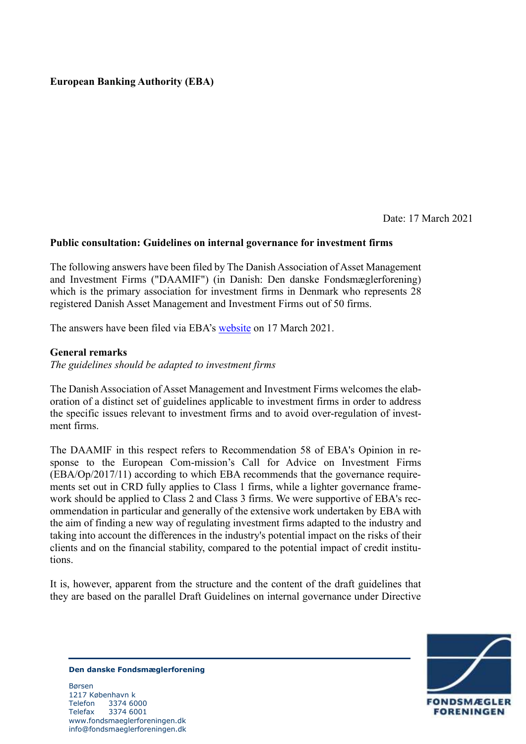# **European Banking Authority (EBA)**

Date: 17 March 2021

### **Public consultation: Guidelines on internal governance for investment firms**

The following answers have been filed by The Danish Association of Asset Management and Investment Firms ("DAAMIF") (in Danish: Den danske Fondsmæglerforening) which is the primary association for investment firms in Denmark who represents 28 registered Danish Asset Management and Investment Firms out of 50 firms.

The answers have been filed via EBA's [website](https://www.eba.europa.eu/consultation-guidelines-internal-governance-investment-firms-form) on 17 March 2021.

#### **General remarks**

*The guidelines should be adapted to investment firms*

The Danish Association of Asset Management and Investment Firms welcomes the elaboration of a distinct set of guidelines applicable to investment firms in order to address the specific issues relevant to investment firms and to avoid over-regulation of investment firms.

The DAAMIF in this respect refers to Recommendation 58 of EBA's Opinion in response to the European Com-mission's Call for Advice on Investment Firms (EBA/Op/2017/11) according to which EBA recommends that the governance requirements set out in CRD fully applies to Class 1 firms, while a lighter governance framework should be applied to Class 2 and Class 3 firms. We were supportive of EBA's recommendation in particular and generally of the extensive work undertaken by EBA with the aim of finding a new way of regulating investment firms adapted to the industry and taking into account the differences in the industry's potential impact on the risks of their clients and on the financial stability, compared to the potential impact of credit institutions.

It is, however, apparent from the structure and the content of the draft guidelines that they are based on the parallel Draft Guidelines on internal governance under Directive



**Den danske Fondsmæglerforening**

Børsen 1217 København k Telefon 3374 6000 Telefax 3374 6001 www.fondsmaeglerforeningen.dk info@fondsmaeglerforeningen.dk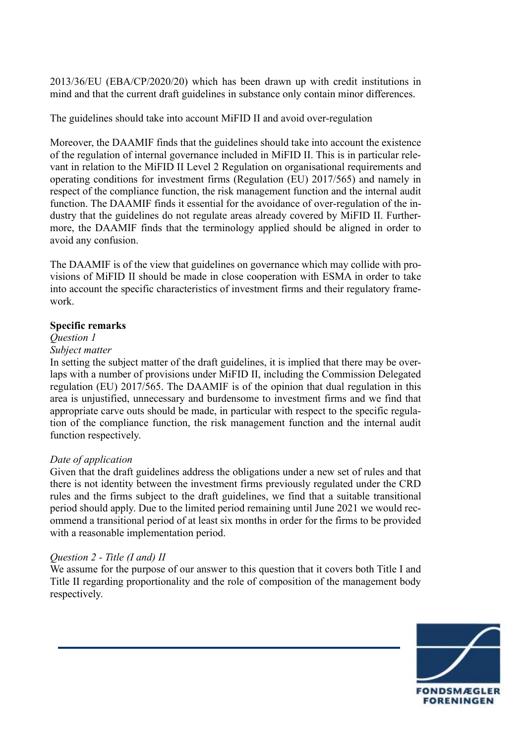2013/36/EU (EBA/CP/2020/20) which has been drawn up with credit institutions in mind and that the current draft guidelines in substance only contain minor differences.

The guidelines should take into account MiFID II and avoid over-regulation

Moreover, the DAAMIF finds that the guidelines should take into account the existence of the regulation of internal governance included in MiFID II. This is in particular relevant in relation to the MiFID II Level 2 Regulation on organisational requirements and operating conditions for investment firms (Regulation (EU) 2017/565) and namely in respect of the compliance function, the risk management function and the internal audit function. The DAAMIF finds it essential for the avoidance of over-regulation of the industry that the guidelines do not regulate areas already covered by MiFID II. Furthermore, the DAAMIF finds that the terminology applied should be aligned in order to avoid any confusion.

The DAAMIF is of the view that guidelines on governance which may collide with provisions of MiFID II should be made in close cooperation with ESMA in order to take into account the specific characteristics of investment firms and their regulatory framework.

### **Specific remarks**

# *Question 1*

# *Subject matter*

In setting the subject matter of the draft guidelines, it is implied that there may be overlaps with a number of provisions under MiFID II, including the Commission Delegated regulation (EU) 2017/565. The DAAMIF is of the opinion that dual regulation in this area is unjustified, unnecessary and burdensome to investment firms and we find that appropriate carve outs should be made, in particular with respect to the specific regulation of the compliance function, the risk management function and the internal audit function respectively.

### *Date of application*

Given that the draft guidelines address the obligations under a new set of rules and that there is not identity between the investment firms previously regulated under the CRD rules and the firms subject to the draft guidelines, we find that a suitable transitional period should apply. Due to the limited period remaining until June 2021 we would recommend a transitional period of at least six months in order for the firms to be provided with a reasonable implementation period.

# *Question 2 - Title (I and) II*

We assume for the purpose of our answer to this question that it covers both Title I and Title II regarding proportionality and the role of composition of the management body respectively.